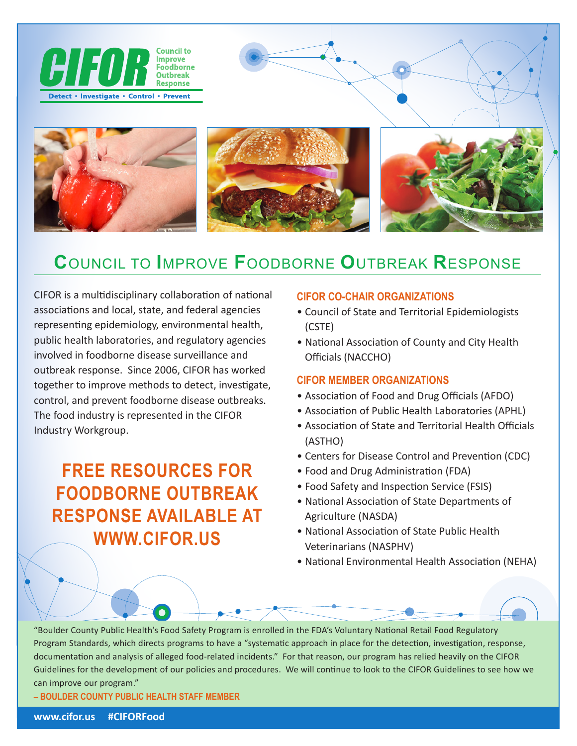

# **C**OUNCIL TO **I**MPROVE **F**OODBORNE **O**UTBREAK **R**ESPONSE

CIFOR is a multidisciplinary collaboration of national associations and local, state, and federal agencies representing epidemiology, environmental health, public health laboratories, and regulatory agencies involved in foodborne disease surveillance and outbreak response. Since 2006, CIFOR has worked together to improve methods to detect, investigate, control, and prevent foodborne disease outbreaks. The food industry is represented in the CIFOR Industry Workgroup.

# **FREE RESOURCES FOR FOODBORNE OUTBREAK RESPONSE AVAILABLE AT WWW.CIFOR.US**

### **CIFOR CO-CHAIR ORGANIZATIONS**

- Council of State and Territorial Epidemiologists (CSTE)
- National Association of County and City Health Officials (NACCHO)

#### **CIFOR MEMBER ORGANIZATIONS**

- Association of Food and Drug Officials (AFDO)
- Association of Public Health Laboratories (APHL)
- Association of State and Territorial Health Officials (ASTHO)
- Centers for Disease Control and Prevention (CDC)
- Food and Drug Administration (FDA)
- Food Safety and Inspection Service (FSIS)
- National Association of State Departments of Agriculture (NASDA)
- National Association of State Public Health Veterinarians (NASPHV)
- National Environmental Health Association (NEHA)

"Boulder County Public Health's Food Safety Program is enrolled in the FDA's Voluntary National Retail Food Regulatory Program Standards, which directs programs to have a "systematic approach in place for the detection, investigation, response, documentation and analysis of alleged food-related incidents." For that reason, our program has relied heavily on the CIFOR Guidelines for the development of our policies and procedures. We will continue to look to the CIFOR Guidelines to see how we can improve our program."

**– BOULDER COUNTY PUBLIC HEALTH STAFF MEMBER**